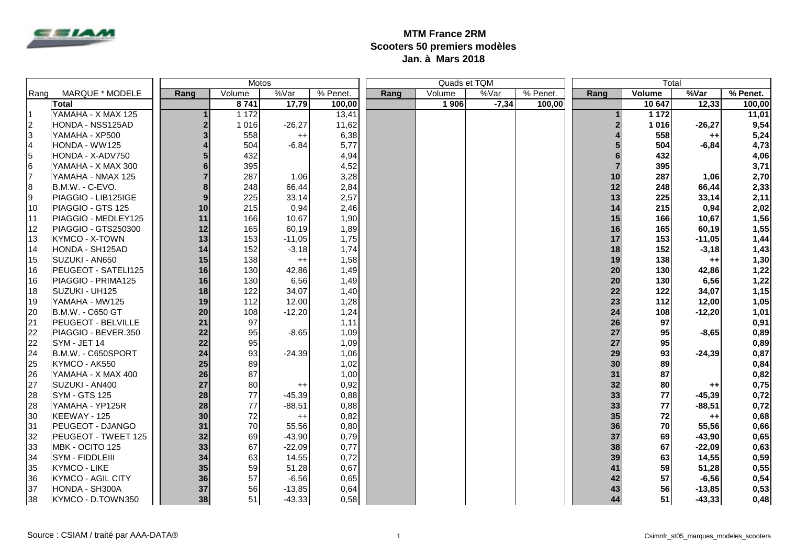

## **MTM France 2RM Scooters 50 premiers modèles Jan. à Mars 2018**

|           |                            | Motos |         |                 |          |      | Quads et TQM |         |          | Total |         |          |          |
|-----------|----------------------------|-------|---------|-----------------|----------|------|--------------|---------|----------|-------|---------|----------|----------|
| Rang      | MARQUE * MODELE            | Rang  | Volume  | %Var            | % Penet. | Rang | Volume       | %Var    | % Penet. | Rang  | Volume  | %Var     | % Penet. |
|           | Total                      |       | 8741    | 17,79           | 100,00   |      | 1 906        | $-7,34$ | 100,00   |       | 10647   | 12,33    | 100,00   |
| I1        | YAMAHA - X MAX 125         |       | 1 1 7 2 |                 | 13,41    |      |              |         |          |       | 1 1 7 2 |          | 11,01    |
| $\vert$ 2 | HONDA - NSS125AD           | 2     | 1016    | $-26,27$        | 11,62    |      |              |         |          |       | 1016    | $-26,27$ | 9,54     |
| l3        | YAMAHA - XP500             | 3     | 558     | $^{++}$         | 6,38     |      |              |         |          |       | 558     | $++$     | 5,24     |
| l4        | HONDA - WW125              |       | 504     | $-6,84$         | 5,77     |      |              |         |          |       | 504     | $-6,84$  | 4,73     |
| 5         | HONDA - X-ADV750           |       | 432     |                 | 4,94     |      |              |         |          |       | 432     |          | 4,06     |
| l6        | YAMAHA - X MAX 300         |       | 395     |                 | 4,52     |      |              |         |          |       | 395     |          | 3,71     |
| 17        | YAMAHA - NMAX 125          |       | 287     | 1,06            | 3,28     |      |              |         |          | 10    | 287     | 1,06     | 2,70     |
| 8         | B.M.W. - C-EVO.            | 8     | 248     | 66,44           | 2,84     |      |              |         |          | 12    | 248     | 66,44    | 2,33     |
| l9        | PIAGGIO - LIB125IGE        | 9     | 225     | 33,14           | 2,57     |      |              |         |          | 13    | 225     | 33,14    | 2,11     |
| 110       | PIAGGIO - GTS 125          | 10    | 215     | 0,94            | 2,46     |      |              |         |          | 14    | 215     | 0,94     | 2,02     |
| 111       | PIAGGIO - MEDLEY125        | 11    | 166     | 10,67           | 1,90     |      |              |         |          | 15    | 166     | 10,67    | 1,56     |
| 12        | PIAGGIO - GTS250300        | 12    | 165     | 60,19           | 1,89     |      |              |         |          | 16    | 165     | 60,19    | 1,55     |
| 113       | <b>KYMCO - X-TOWN</b>      | 13    | 153     | $-11,05$        | 1,75     |      |              |         |          | 17    | 153     | $-11,05$ | 1,44     |
| 14        | HONDA - SH125AD            | 14    | 152     | $-3,18$         | 1,74     |      |              |         |          | 18    | 152     | $-3,18$  | 1,43     |
| 15        | SUZUKI - AN650             | 15    | 138     | $++$            | 1,58     |      |              |         |          | 19    | 138     | $++$     | 1,30     |
| I16       | PEUGEOT - SATELI125        | 16    | 130     | 42,86           | 1,49     |      |              |         |          | 20    | 130     | 42,86    | 1,22     |
| 16        | PIAGGIO - PRIMA125         | 16    | 130     | 6,56            | 1,49     |      |              |         |          | 20    | 130     | 6,56     | 1,22     |
| 18        | SUZUKI - UH125             | 18    | 122     | 34,07           | 1,40     |      |              |         |          | 22    | 122     | 34,07    | 1,15     |
| 19        | YAMAHA - MW125             | 19    | 112     | 12,00           | 1,28     |      |              |         |          | 23    | 112     | 12,00    | 1,05     |
| 20        | B.M.W. - C650 GT           | 20    | 108     | $-12,20$        | 1,24     |      |              |         |          | 24    | 108     | $-12,20$ | 1,01     |
| 21        | <b>PEUGEOT - BELVILLE</b>  | 21    | 97      |                 | 1,11     |      |              |         |          | 26    | 97      |          | 0,91     |
| 22        | PIAGGIO - BEVER.350        | 22    | 95      | $-8,65$         | 1,09     |      |              |         |          | 27    | 95      | $-8,65$  | 0,89     |
| 22        | SYM - JET 14               | 22    | 95      |                 | 1,09     |      |              |         |          | 27    | 95      |          | 0,89     |
| 24        | B.M.W. - C650SPORT         | 24    | 93      | $-24,39$        | 1,06     |      |              |         |          | 29    | 93      | $-24,39$ | 0,87     |
| 25        | KYMCO - AK550              | 25    | 89      |                 | 1,02     |      |              |         |          | 30    | 89      |          | 0,84     |
| 26        | YAMAHA - X MAX 400         | 26    | 87      |                 | 1,00     |      |              |         |          | 31    | 87      |          | 0,82     |
| 27        | <b>SUZUKI - AN400</b>      | 27    | 80      | $^{\mathrm{+}}$ | 0,92     |      |              |         |          | 32    | 80      | $^{++}$  | 0,75     |
| 28        | SYM - GTS 125              | 28    | 77      | $-45,39$        | 0,88     |      |              |         |          | 33    | 77      | $-45,39$ | 0,72     |
| 28        | YAMAHA - YP125R            | 28    | 77      | $-88,51$        | 0,88     |      |              |         |          | 33    | 77      | $-88,51$ | 0,72     |
| 30        | KEEWAY - 125               | 30    | 72      | $^{++}$         | 0,82     |      |              |         |          | 35    | 72      | $^{++}$  | 0,68     |
| 31        | <b>PEUGEOT - DJANGO</b>    | 31    | 70      | 55,56           | 0,80     |      |              |         |          | 36    | 70      | 55,56    | 0,66     |
| 32        | <b>PEUGEOT - TWEET 125</b> | 32    | 69      | $-43,90$        | 0,79     |      |              |         |          | 37    | 69      | $-43,90$ | 0,65     |
| 33        | MBK - OCITO 125            | 33    | 67      | $-22,09$        | 0,77     |      |              |         |          | 38    | 67      | $-22,09$ | 0,63     |
| 34        | <b>SYM - FIDDLEIII</b>     | 34    | 63      | 14,55           | 0,72     |      |              |         |          | 39    | 63      | 14,55    | 0,59     |
| 35        | <b>KYMCO - LIKE</b>        | 35    | 59      | 51,28           | 0,67     |      |              |         |          | 41    | 59      | 51,28    | 0,55     |
| 136       | <b>KYMCO - AGIL CITY</b>   | 36    | 57      | $-6,56$         | 0,65     |      |              |         |          | 42    | 57      | $-6,56$  | 0,54     |
| 37        | HONDA - SH300A             | 37    | 56      | $-13,85$        | 0,64     |      |              |         |          | 43    | 56      | $-13,85$ | 0,53     |
| 38        | KYMCO - D.TOWN350          | 38    | 51      | $-43,33$        | 0,58     |      |              |         |          | 44    | 51      | $-43,33$ | 0,48     |